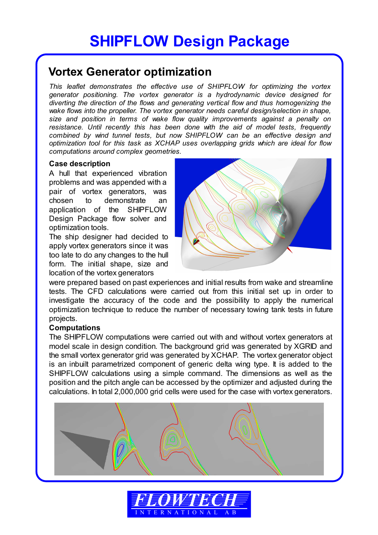# **Vortex Generator optimization**

*This leaflet demonstrates the effective use of SHIPFLOW for optimizing the vortex generator positioning. The vortex generator is a hydrodynamic device designed for diverting the direction of the flows and generating vertical flow and thus homogenizing the wake flows into the propeller. The vortex generator needs careful design/selection in shape, size and position in terms of wake flow quality improvements against a penalty on resistance. Until recently this has been done with the aid of model tests, frequently combined by wind tunnel tests, but now SHIPFLOW can be an effective design and optimization tool for this task as XCHAP uses overlapping grids which are ideal for flow computations around complex geometries.* 

## **Case description**

A hull that experienced vibration problems and was appended with a pair of vortex generators, was chosen to demonstrate an application of the SHIPFLOW Design Package flow solver and optimization tools.

The ship designer had decided to apply vortex generators since it was too late to do any changes to the hull form. The initial shape, size and location of the vortex generators



were prepared based on past experiences and initial results from wake and streamline tests. The CFD calculations were carried out from this initial set up in order to investigate the accuracy of the code and the possibility to apply the numerical optimization technique to reduce the number of necessary towing tank tests in future projects.

## **Computations**

The SHIPFLOW computations were carried out with and without vortex generators at model scale in design condition. The background grid was generated by XGRID and the small vortex generator grid was generated by XCHAP. The vortex generator object is an inbuilt parametrized component of generic delta wing type. It is added to the SHIPFLOW calculations using a simple command. The dimensions as well as the position and the pitch angle can be accessed by the optimizer and adjusted during the calculations. In total 2,000,000 grid cells were used for the case with vortex generators.